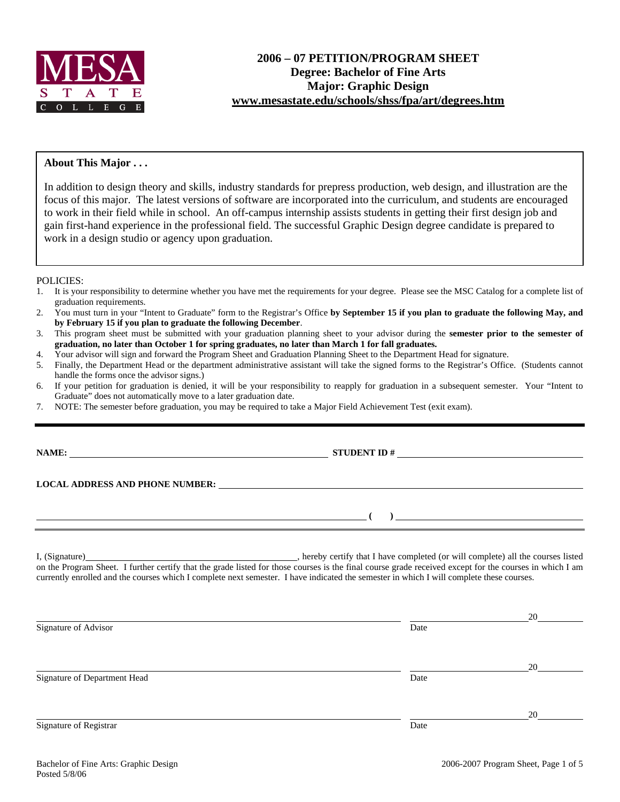

## **About This Major . . .**

In addition to design theory and skills, industry standards for prepress production, web design, and illustration are the focus of this major. The latest versions of software are incorporated into the curriculum, and students are encouraged to work in their field while in school. An off-campus internship assists students in getting their first design job and gain first-hand experience in the professional field. The successful Graphic Design degree candidate is prepared to work in a design studio or agency upon graduation.

### POLICIES:

- 1. It is your responsibility to determine whether you have met the requirements for your degree. Please see the MSC Catalog for a complete list of graduation requirements.
- 2. You must turn in your "Intent to Graduate" form to the Registrar's Office **by September 15 if you plan to graduate the following May, and by February 15 if you plan to graduate the following December**.
- 3. This program sheet must be submitted with your graduation planning sheet to your advisor during the **semester prior to the semester of graduation, no later than October 1 for spring graduates, no later than March 1 for fall graduates.**
- 4. Your advisor will sign and forward the Program Sheet and Graduation Planning Sheet to the Department Head for signature.
- 5. Finally, the Department Head or the department administrative assistant will take the signed forms to the Registrar's Office. (Students cannot handle the forms once the advisor signs.)
- 6. If your petition for graduation is denied, it will be your responsibility to reapply for graduation in a subsequent semester. Your "Intent to Graduate" does not automatically move to a later graduation date.
- 7. NOTE: The semester before graduation, you may be required to take a Major Field Achievement Test (exit exam).

**NAME: STUDENT ID #**

**LOCAL ADDRESS AND PHONE NUMBER:**

 **( )** 

I, (Signature) , hereby certify that I have completed (or will complete) all the courses listed on the Program Sheet. I further certify that the grade listed for those courses is the final course grade received except for the courses in which I am currently enrolled and the courses which I complete next semester. I have indicated the semester in which I will complete these courses.

|                              |      | 20 |
|------------------------------|------|----|
| Signature of Advisor         | Date |    |
|                              |      |    |
|                              |      | 20 |
| Signature of Department Head | Date |    |
|                              |      |    |
|                              |      | 20 |
| Signature of Registrar       | Date |    |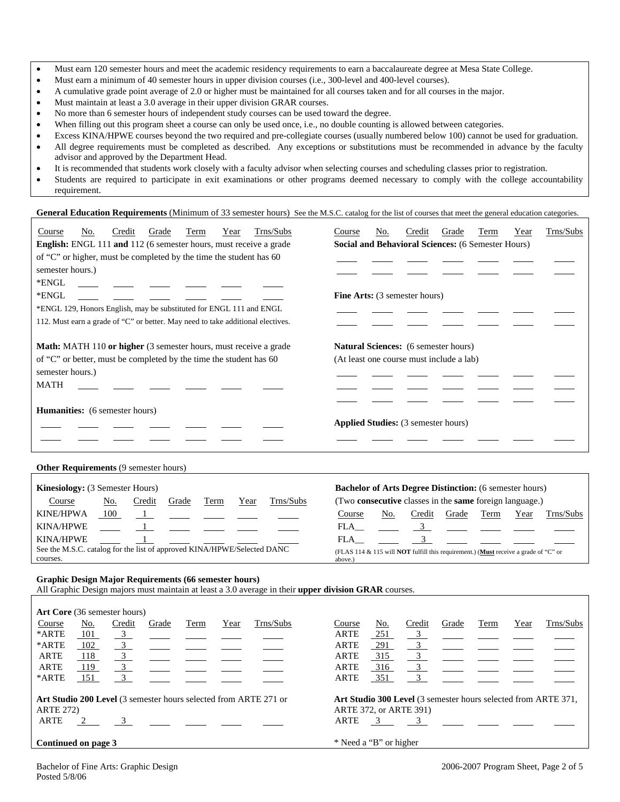- Must earn 120 semester hours and meet the academic residency requirements to earn a baccalaureate degree at Mesa State College.
- Must earn a minimum of 40 semester hours in upper division courses (i.e., 300-level and 400-level courses).
- A cumulative grade point average of 2.0 or higher must be maintained for all courses taken and for all courses in the major.
- Must maintain at least a 3.0 average in their upper division GRAR courses.
- No more than 6 semester hours of independent study courses can be used toward the degree.
- When filling out this program sheet a course can only be used once, i.e., no double counting is allowed between categories.
- Excess KINA/HPWE courses beyond the two required and pre-collegiate courses (usually numbered below 100) cannot be used for graduation.
- All degree requirements must be completed as described. Any exceptions or substitutions must be recommended in advance by the faculty advisor and approved by the Department Head.
- It is recommended that students work closely with a faculty advisor when selecting courses and scheduling classes prior to registration.
- Students are required to participate in exit examinations or other programs deemed necessary to comply with the college accountability requirement.

General Education Requirements (Minimum of 33 semester hours) See the M.S.C. catalog for the list of courses that meet the general education categories.

| Trns/Subs<br>No.<br>Grade<br>Term<br>Course<br>Credit<br>Year                   | Trns/Subs<br>No.<br>Grade<br>Credit<br>Term<br>Year<br>Course         |  |  |  |  |  |  |
|---------------------------------------------------------------------------------|-----------------------------------------------------------------------|--|--|--|--|--|--|
| English: ENGL 111 and 112 (6 semester hours, must receive a grade               | Social and Behavioral Sciences: (6 Semester Hours)                    |  |  |  |  |  |  |
| of "C" or higher, must be completed by the time the student has 60              |                                                                       |  |  |  |  |  |  |
| semester hours.)                                                                |                                                                       |  |  |  |  |  |  |
| *ENGL                                                                           |                                                                       |  |  |  |  |  |  |
| *ENGL                                                                           | <b>Fine Arts:</b> (3 semester hours)                                  |  |  |  |  |  |  |
| *ENGL 129, Honors English, may be substituted for ENGL 111 and ENGL             |                                                                       |  |  |  |  |  |  |
| 112. Must earn a grade of "C" or better. May need to take additional electives. |                                                                       |  |  |  |  |  |  |
|                                                                                 |                                                                       |  |  |  |  |  |  |
| <b>Math:</b> MATH 110 or higher (3 semester hours, must receive a grade         | <b>Natural Sciences:</b> (6 semester hours)                           |  |  |  |  |  |  |
| of "C" or better, must be completed by the time the student has 60              | (At least one course must include a lab)                              |  |  |  |  |  |  |
| semester hours.)                                                                |                                                                       |  |  |  |  |  |  |
| <b>MATH</b>                                                                     |                                                                       |  |  |  |  |  |  |
|                                                                                 |                                                                       |  |  |  |  |  |  |
| <b>Humanities:</b> (6 semester hours)                                           |                                                                       |  |  |  |  |  |  |
|                                                                                 | <b>Applied Studies:</b> (3 semester hours)                            |  |  |  |  |  |  |
|                                                                                 |                                                                       |  |  |  |  |  |  |
|                                                                                 |                                                                       |  |  |  |  |  |  |
| <b>Other Requirements (9 semester hours)</b>                                    |                                                                       |  |  |  |  |  |  |
| <b>Kinesiology:</b> (3 Semester Hours)                                          | <b>Bachelor of Arts Degree Distinction:</b> (6 semester hours)        |  |  |  |  |  |  |
| Trns/Subs<br>Credit<br>Grade<br>Term<br>Year<br>Course<br>No.                   | (Two <b>consecutive</b> classes in the <b>same</b> foreign language.) |  |  |  |  |  |  |
|                                                                                 |                                                                       |  |  |  |  |  |  |

| KINE/HPWA<br>100                                                        | Course                                                                                             | No. | redit_ | Grade | Term | Year | Trns/Subs |
|-------------------------------------------------------------------------|----------------------------------------------------------------------------------------------------|-----|--------|-------|------|------|-----------|
| KINA/HPWE                                                               |                                                                                                    |     |        |       |      |      |           |
| <b>KINA/HPWE</b>                                                        |                                                                                                    |     |        |       |      |      |           |
| See the M.S.C. catalog for the list of approved KINA/HPWE/Selected DANC | (FLAS 114 & 115 will <b>NOT</b> fulfill this requirement.) ( <b>Must</b> receive a grade of "C" or |     |        |       |      |      |           |
| courses.                                                                | above.)                                                                                            |     |        |       |      |      |           |

### **Graphic Design Major Requirements (66 semester hours)**

All Graphic Design majors must maintain at least a 3.0 average in their **upper division GRAR** courses.

| <b>Art Core</b> (36 semester hours) |                     |                           |       |      |      |                                                                  |             |                                                                       |                           |       |      |      |           |
|-------------------------------------|---------------------|---------------------------|-------|------|------|------------------------------------------------------------------|-------------|-----------------------------------------------------------------------|---------------------------|-------|------|------|-----------|
| Course                              | No.                 | Credit                    | Grade | Term | Year | Trns/Subs                                                        | Course      | No.                                                                   | Credit                    | Grade | Term | Year | Trns/Subs |
| *ARTE                               | 101                 | $\overline{\phantom{0}3}$ |       |      |      |                                                                  | ARTE        | <u>251</u>                                                            | $\frac{3}{2}$             |       |      |      |           |
| *ARTE                               | 102                 | $\overline{\mathbf{3}}$   |       |      |      |                                                                  | <b>ARTE</b> | 291                                                                   | $\overline{\mathbf{3}}$   |       |      |      |           |
| <b>ARTE</b>                         | 118                 | $\overline{\mathbf{3}}$   |       |      |      |                                                                  | ARTE        | 315                                                                   | $\overline{3}$            |       |      |      |           |
| <b>ARTE</b>                         | 119                 | 3                         |       |      |      |                                                                  | ARTE        | 316                                                                   | $\overline{\phantom{a}3}$ |       |      |      |           |
| *ARTE                               | 151                 | 3                         |       |      |      |                                                                  | ARTE        | 351                                                                   | $\overline{3}$            |       |      |      |           |
|                                     |                     |                           |       |      |      |                                                                  |             |                                                                       |                           |       |      |      |           |
|                                     |                     |                           |       |      |      | Art Studio 200 Level (3 semester hours selected from ARTE 271 or |             | <b>Art Studio 300 Level</b> (3 semester hours selected from ARTE 371, |                           |       |      |      |           |
| <b>ARTE 272)</b>                    |                     |                           |       |      |      |                                                                  |             |                                                                       | ARTE 372, or ARTE 391)    |       |      |      |           |
| <b>ARTE</b>                         | 2 $\qquad$ 3        |                           |       |      |      |                                                                  | ARTE        |                                                                       | $3 \qquad \qquad 3$       |       |      |      |           |
|                                     |                     |                           |       |      |      |                                                                  |             |                                                                       |                           |       |      |      |           |
|                                     | Continued on page 3 |                           |       |      |      |                                                                  |             | * Need a "B" or higher                                                |                           |       |      |      |           |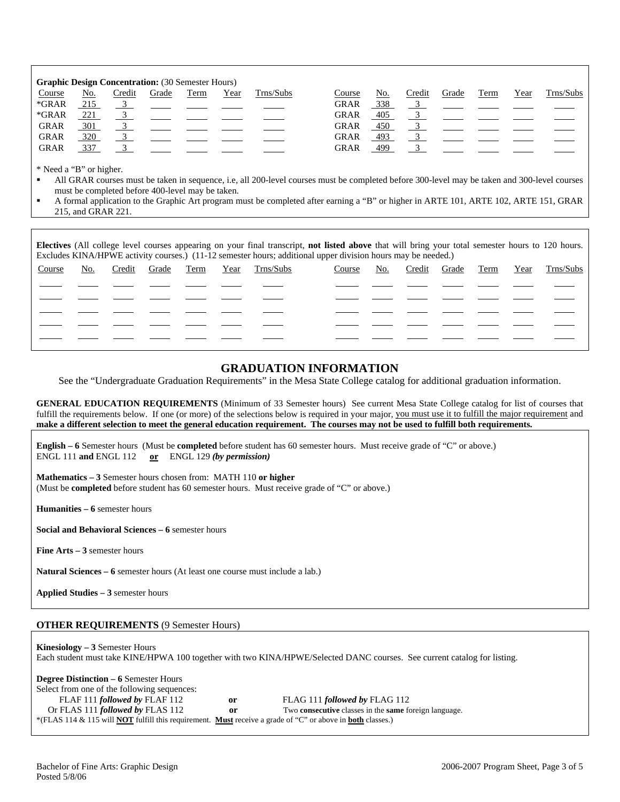| <b>Graphic Design Concentration:</b> (30 Semester Hours) |     |        |       |      |      |           |             |            |        |       |      |      |           |
|----------------------------------------------------------|-----|--------|-------|------|------|-----------|-------------|------------|--------|-------|------|------|-----------|
| Course                                                   | No. | Credit | Grade | Term | Year | Trns/Subs | Course      | No.        | Credit | Grade | Term | Year | Trns/Subs |
| *GRAR                                                    | 215 |        |       |      |      |           | <b>GRAR</b> | 338        |        |       |      |      |           |
| $*GRAR$                                                  | 221 |        |       |      |      |           | <b>GRAR</b> | <u>405</u> |        |       |      |      |           |
| <b>GRAR</b>                                              | 301 |        |       |      |      |           | <b>GRAR</b> | 450        |        |       |      |      |           |
| <b>GRAR</b>                                              | 320 |        |       |      |      |           | <b>GRAR</b> | 493        |        |       |      |      |           |
| <b>GRAR</b>                                              | 337 |        |       |      |      |           | <b>GRAR</b> | 499        |        |       |      |      |           |

\* Need a "B" or higher.

- All GRAR courses must be taken in sequence, i.e, all 200-level courses must be completed before 300-level may be taken and 300-level courses must be completed before 400-level may be taken.
- A formal application to the Graphic Art program must be completed after earning a "B" or higher in ARTE 101, ARTE 102, ARTE 151, GRAR 215, and GRAR 221.

**Electives** (All college level courses appearing on your final transcript, **not listed above** that will bring your total semester hours to 120 hours. Excludes KINA/HPWE activity courses.) (11-12 semester hours; additional upper division hours may be needed.)

| Course | No. | Credit | Grade | Term | Year | Trns/Subs | Course | <u>No.</u> | Credit Grade Term | Year | Trns/Subs |
|--------|-----|--------|-------|------|------|-----------|--------|------------|-------------------|------|-----------|
|        |     |        |       |      |      |           |        |            |                   |      |           |
|        |     |        |       |      |      |           |        |            |                   |      |           |
|        |     |        |       |      |      |           |        |            |                   |      |           |
|        |     |        |       |      |      |           |        |            |                   |      |           |
|        |     |        |       |      |      |           |        |            |                   |      |           |
|        |     |        |       |      |      |           |        |            |                   |      |           |

# **GRADUATION INFORMATION**

See the "Undergraduate Graduation Requirements" in the Mesa State College catalog for additional graduation information.

**GENERAL EDUCATION REQUIREMENTS** (Minimum of 33 Semester hours) See current Mesa State College catalog for list of courses that fulfill the requirements below. If one (or more) of the selections below is required in your major, you must use it to fulfill the major requirement and **make a different selection to meet the general education requirement. The courses may not be used to fulfill both requirements.**

**English – 6** Semester hours (Must be **completed** before student has 60 semester hours. Must receive grade of "C" or above.) ENGL 111 **and** ENGL 112 **or** ENGL 129 *(by permission)*

**Mathematics – 3** Semester hours chosen from: MATH 110 **or higher** (Must be **completed** before student has 60 semester hours. Must receive grade of "C" or above.)

**Humanities – 6** semester hours

**Social and Behavioral Sciences – 6** semester hours

**Fine Arts – 3** semester hours

**Natural Sciences – 6** semester hours (At least one course must include a lab.)

**Applied Studies – 3** semester hours

### **OTHER REQUIREMENTS** (9 Semester Hours)

**Kinesiology – 3** Semester Hours Each student must take KINE/HPWA 100 together with two KINA/HPWE/Selected DANC courses. See current catalog for listing.

**Degree Distinction – 6** Semester Hours Select from one of the following sequences: FLAF 111 *followed by* FLAF 112 **or** FLAG 111 *followed by* FLAG 112 Or FLAS 111 *followed by* FLAS 112 **or** Two **consecutive** classes in the **same** foreign language. \*(FLAS 114 & 115 will **NOT** fulfill this requirement. **Must** receive a grade of "C" or above in **both** classes.)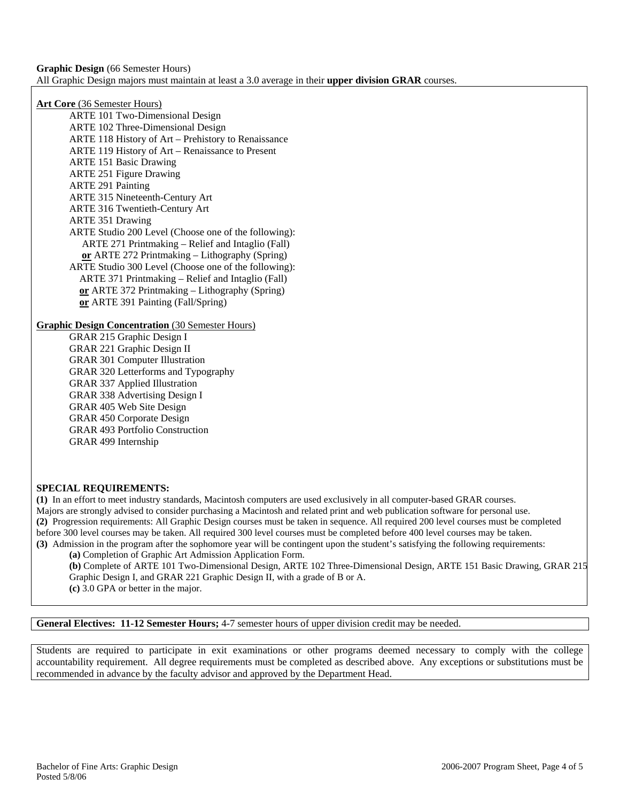**Graphic Design** (66 Semester Hours) All Graphic Design majors must maintain at least a 3.0 average in their **upper division GRAR** courses.

**Art Core** (36 Semester Hours)

ARTE 101 Two-Dimensional Design ARTE 102 Three-Dimensional Design ARTE 118 History of Art – Prehistory to Renaissance ARTE 119 History of Art – Renaissance to Present ARTE 151 Basic Drawing ARTE 251 Figure Drawing ARTE 291 Painting ARTE 315 Nineteenth-Century Art ARTE 316 Twentieth-Century Art ARTE 351 Drawing ARTE Studio 200 Level (Choose one of the following): ARTE 271 Printmaking – Relief and Intaglio (Fall)  **or** ARTE 272 Printmaking – Lithography (Spring) ARTE Studio 300 Level (Choose one of the following): ARTE 371 Printmaking – Relief and Intaglio (Fall) **or** ARTE 372 Printmaking – Lithography (Spring) **or** ARTE 391 Painting (Fall/Spring)

**Graphic Design Concentration** (30 Semester Hours)

GRAR 215 Graphic Design I GRAR 221 Graphic Design II GRAR 301 Computer Illustration GRAR 320 Letterforms and Typography GRAR 337 Applied Illustration GRAR 338 Advertising Design I GRAR 405 Web Site Design GRAR 450 Corporate Design GRAR 493 Portfolio Construction GRAR 499 Internship

# **SPECIAL REQUIREMENTS:**

**(1)** In an effort to meet industry standards, Macintosh computers are used exclusively in all computer-based GRAR courses. Majors are strongly advised to consider purchasing a Macintosh and related print and web publication software for personal use. **(2)** Progression requirements: All Graphic Design courses must be taken in sequence. All required 200 level courses must be completed before 300 level courses may be taken. All required 300 level courses must be completed before 400 level courses may be taken. **(3)** Admission in the program after the sophomore year will be contingent upon the student's satisfying the following requirements:

**(a)** Completion of Graphic Art Admission Application Form.

**(b)** Complete of ARTE 101 Two-Dimensional Design, ARTE 102 Three-Dimensional Design, ARTE 151 Basic Drawing, GRAR 215 Graphic Design I, and GRAR 221 Graphic Design II, with a grade of B or A. **(c)** 3.0 GPA or better in the major.

**General Electives: 11-12 Semester Hours;** 4-7 semester hours of upper division credit may be needed.

Students are required to participate in exit examinations or other programs deemed necessary to comply with the college accountability requirement. All degree requirements must be completed as described above. Any exceptions or substitutions must be recommended in advance by the faculty advisor and approved by the Department Head.